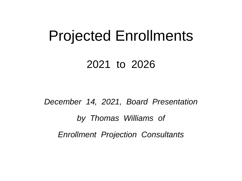# Projected Enrollments

## 2021 to 2026

*December 14, 2021, Board Presentation by Thomas Williams of Enrollment Projection Consultants*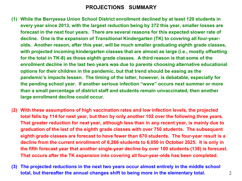### **PROJECTIONS SUMMARY**

- **(1) While the Berryessa Union School District enrollment declined by at least 120 students in every year since 2013, with the largest reduction being by 372 this year, smaller losses are forecast in the next four years. There are several reasons for this expected slower rate of decline. One is the expansion of Transitional Kindergarten (TK) to covering all four-yearolds. Another reason, after this year, will be much smaller graduating eighth grade classes, with projected incoming kindergarten classes that are almost as large (i.e., mostly offsetting for the total in TK-8) as those eighth grade classes. A third reason is that some of the enrollment decline in the last two years was due to parents choosing alternative educational options for their children in the pandemic, but that trend should be easing as the pandemic'<sup>s</sup> impacts lessen. The timing of the latter, however, is debatable, especially for the pending school year. If another serious infection "wave" occurs next summer or more than <sup>a</sup> small percentage of district staff and students remain unvaccinated, then another large enrollment decline could occur.**
- **(2) With these assumptions of high vaccination rates and low infection levels, the projected total falls by 114 for next year, but then by only another 102 over the following three years. That greater reduction for next year, although less than in any recent year, is mainly due to graduation of the last of the eighth grade classes with over 750 students. The subsequent eighth grade classes are forecast to have fewer than 670 students. The four-year result is <sup>a</sup> decline from the current enrollment of 6,266 students to 6,050 in October 2025. It is only in the fifth forecast year that another single-year decline by over 100 students (138) is forecast. That occurs after the TK expansion into covering all four-year-olds has been completed.**
- **(3) The projected reductions in the next two years occur almost entirely in the middle school total, but thereafter the annual changes shift to being more in the elementary total.**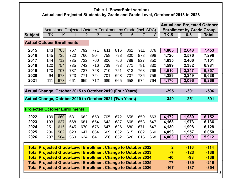#### **Table 1 (PowerPoint version) Actual and Projected Students by Grade and Grade Level, October of 2015 to 2026**

|                                                                      |           |     |     |     |     |                |                |                                                              |                |     |                |                                  | <b>Actual and Projected October</b> |
|----------------------------------------------------------------------|-----------|-----|-----|-----|-----|----------------|----------------|--------------------------------------------------------------|----------------|-----|----------------|----------------------------------|-------------------------------------|
|                                                                      |           |     |     |     |     |                |                | Actual and Projected October Enrollment by Grade (incl. SDC) |                |     |                | <b>Enrollment by Grade Group</b> |                                     |
| <b>Subject</b>                                                       | <b>TK</b> | K   | 1   | 2   | 3   | $\overline{4}$ | 5 <sub>1</sub> | 6                                                            | $\overline{7}$ | 8   | <b>TK-5</b>    | $6 - 8$                          | <b>Total</b>                        |
| <b>Actual October Enrollments:</b>                                   |           |     |     |     |     |                |                |                                                              |                |     |                |                                  |                                     |
|                                                                      |           |     |     |     |     |                |                |                                                              |                |     |                |                                  |                                     |
| 2015                                                                 | 143       | 705 | 767 | 792 | 771 | 811            | 816            | 861                                                          | 911            | 876 | 4,805          | 2,648                            | 7,453                               |
| 2016                                                                 | 145       | 735 | 720 | 760 | 804 | 758            | 798            | 800                                                          | 878            | 898 | 4,720          | 2,576                            | 7,296                               |
| 2017                                                                 | 144       | 712 | 735 | 722 | 760 | 806            | 756            | 789                                                          | 827            | 850 | 4,635          | 2,466                            | 7,101                               |
| 2018                                                                 | 120       | 754 | 735 | 742 | 716 | 739            | 793            | 771                                                          | 781            | 830 | 4,599          | 2,382                            | 6,981                               |
| 2019                                                                 | 120       | 707 | 787 | 737 | 728 | 710            | 721            | 813                                                          | 768            | 766 | 4,510          | 2,347                            | 6,857                               |
| 2020                                                                 | 94        | 678 | 723 | 771 | 724 | 701            | 698            | 707                                                          | 786            | 756 | 4,389          | 2,249                            | 6,638                               |
| 2021                                                                 | 111       | 673 | 661 | 659 | 712 | 689            | 665            | 658                                                          | 674            | 764 | 4,170          | 2,096                            | 6,266                               |
|                                                                      |           |     |     |     |     |                |                |                                                              |                |     |                |                                  |                                     |
| Actual Change, October 2015 to October 2019 (Four Years)             |           |     |     |     |     |                |                |                                                              |                |     | $-295$         | $-301$                           | $-596$                              |
|                                                                      |           |     |     |     |     |                |                |                                                              |                |     |                |                                  |                                     |
|                                                                      |           |     |     |     |     |                |                |                                                              |                |     |                |                                  |                                     |
| Actual Change, October 2019 to October 2021 (Two Years)              |           |     |     |     |     |                |                |                                                              |                |     | $-340$         | $-251$                           | $-591$                              |
|                                                                      |           |     |     |     |     |                |                |                                                              |                |     |                |                                  |                                     |
| <b>Projected October Enrollments:</b>                                |           |     |     |     |     |                |                |                                                              |                |     |                |                                  |                                     |
| 2022                                                                 | 139       | 660 | 681 | 662 | 653 | 705            | 672            | 658                                                          | 659            | 663 | 4,172          | 1,980                            | 6,152                               |
| 2023                                                                 | 193       | 637 | 668 | 681 | 654 | 643            | 687            | 668                                                          | 658            | 647 | 4,163          | 1,973                            | 6,136                               |
| 2024                                                                 | 251       | 615 | 645 | 670 | 676 | 647            | 626            | 680                                                          | 671            | 647 | 4,130          | 1,998                            | 6,128                               |
| 2025                                                                 | 296       | 562 | 623 | 647 | 664 | 669            | 632            | 615                                                          | 682            | 660 | 4,093          | 1,957                            | 6,050                               |
| 2026                                                                 | 297       | 564 | 569 | 624 | 641 | 656            | 652            | 626                                                          | 615            | 668 | 4,003          | 1,909                            | 5,912                               |
|                                                                      |           |     |     |     |     |                |                |                                                              |                |     |                |                                  |                                     |
| <b>Total Projected Grade-Level Enrollment Change to October 2022</b> |           |     |     |     |     |                |                |                                                              |                |     | $\overline{2}$ | $-116$                           | $-114$                              |
| <b>Total Projected Grade-Level Enrollment Change to October 2023</b> |           |     |     |     |     |                |                |                                                              |                |     | $-7$           | $-123$                           | $-130$                              |
| <b>Total Projected Grade-Level Enrollment Change to October 2024</b> |           |     |     |     |     |                |                |                                                              |                |     | $-40$          | $-98$                            | $-138$                              |
| <b>Total Projected Grade-Level Enrollment Change to October 2025</b> |           |     |     |     |     |                |                |                                                              |                |     | $-77$          | $-139$                           | $-216$                              |
| <b>Total Projected Grade-Level Enrollment Change to October 2026</b> |           |     |     |     |     |                |                |                                                              |                |     | $-167$         | $-187$                           | $-354$                              |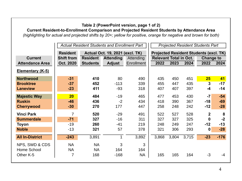#### **Table 2 (PowerPoint version, page 1 of 2)**

**Current Resident-to-Enrollment Comparison and Projected Resident Students by Attendance Area**

*(highlighting for actual and projected shifts by 20+; yellow for positive, orange for negative and brown for both)*

|                        |                   |                 | <b>Actual Resident Students and Enrollment Part</b> |            |                               |       |       | <b>Projected Resident Students Part</b>       |        |
|------------------------|-------------------|-----------------|-----------------------------------------------------|------------|-------------------------------|-------|-------|-----------------------------------------------|--------|
|                        | <b>Resident</b>   |                 | <b>Actual Oct. 19, 2021 (excl. TK)</b>              |            |                               |       |       | <b>Projected Resident Students (excl. TK)</b> |        |
| <b>Current</b>         | <b>Shift from</b> | <b>Resident</b> | <b>Attending</b>                                    | Attending  | <b>Relevant Total in Oct.</b> |       |       | <b>Change to</b>                              |        |
| <b>Attendance Area</b> | Oct. 2020         | <b>Students</b> | <b>Adjust</b>                                       | Enrollment | 2022                          | 2023  | 2024  | 2022                                          | 2024   |
| Elementary (K-5)       |                   |                 |                                                     |            |                               |       |       |                                               |        |
| <b>Northwood</b>       | $-31$             | 410             | 80                                                  | 490        | 435                           | 450   | 451   | 25                                            | 41     |
| <b>Brooktree</b>       | $-37$             | 452             | $-113$                                              | 339        | 455                           | 447   | 435   | 3                                             | $-17$  |
| <b>Laneview</b>        | $-23$             | 411             | $-93$                                               | 318        | 407                           | 407   | 397   | -4                                            | $-14$  |
| <b>Majestic Way</b>    | 20                | 484             | $-19$                                               | 465        | 477                           | 453   | 430   | $-7$                                          | $-54$  |
| <b>Ruskin</b>          | $-46$             | 436             | $-2$                                                | 434        | 418                           | 390   | 367   | $-18$                                         | $-69$  |
| Cherrywood             | $-30$             | 270             | 177                                                 | 447        | 258                           | 248   | 242   | $-12$                                         | $-28$  |
| <b>Vinci Park</b>      | $\overline{7}$    | 520             | $-29$                                               | 491        | 522                           | 527   | 528   | $\mathbf 2$                                   | 8      |
| <b>Summerdale</b>      | $-71$             | 327             | $-16$                                               | 311        | 327                           | 327   | 325   | $\mathbf 0$                                   | $-2$   |
| <b>Toyon</b>           | $-19$             | 260             | $-41$                                               | 219        | 248                           | 249   | 247   | $-12$                                         | $-13$  |
| <b>Noble</b>           | $-13$             | 321             | 57                                                  | 378        | 321                           | 306   | 293   | 0                                             | $-28$  |
| <b>All In-District</b> | $-243$            | 3,891           | $\mathbf{1}$                                        | 3,892      | 3,868                         | 3,804 | 3,715 | $-23$                                         | $-176$ |
| NPS, SWD & CDS         | <b>NA</b>         | <b>NA</b>       | 3                                                   | 3          |                               |       |       |                                               |        |
| Home School            | <b>NA</b>         | <b>NA</b>       | 164                                                 | 164        |                               |       |       |                                               |        |
| Other K-5              | 7                 | 168             | $-168$                                              | <b>NA</b>  | 165                           | 165   | 164   | $-3$                                          | -4     |
|                        |                   |                 |                                                     |            |                               |       |       |                                               |        |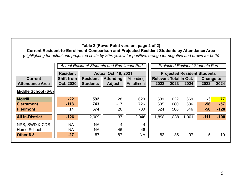#### **Current | Shift from Resident Attending Attending Attendance Area Students Adjust** Enrollment **2022 2023 2024 2022 2024 Middle School (6-8) Morrill -22 592** 28 620 589 622 669 **-3 77 Sierramont -118 743** -17 726 685 680 686 **-58 -57 Piedmont** 14 **674** 26 700 624 586 546 **-50 -128 All In-District -126** 2,009 37 2,046 1,898 1,888 1,901 **-111 -108** NPS, SWD & CDS NA NA 4 4 4 Home School  $NA$  NA  $46$  46 **Other 6-8 -27** 87 -87 NA 82 85 97 -5 10 **Oct. 2020 Resident Actual Oct. 19, 2021 Projected Resident Students Shift from Relevant Total in Oct. Change to Table 2 (PowerPoint version, page 2 of 2) Current Resident-to-Enrollment Comparison and Projected Resident Students by Attendance Area** *(highlighting for actual and projected shifts by 20+; yellow for positive, orange for negative and brown for both) Actual Resident Students and Enrollment Part Projected Resident Students Part*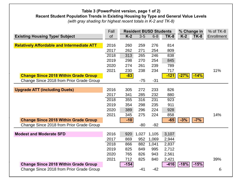#### **Table 3 (PowerPoint version, page 1 of 2) Recent Student Population Trends in Existing Housing by Type and General Value Levels**

*(with gray shading for highest recent totals in K-2 and TK-8)*

|                                                   | Fall |        |       | <b>Resident BUSD Students</b> |             |        | % Change in | % of TK-8         |
|---------------------------------------------------|------|--------|-------|-------------------------------|-------------|--------|-------------|-------------------|
| <b>Existing Housing Type/ Subject</b>             | of   | $K-2$  | $3-5$ | $6 - 8$                       | <b>TK-8</b> | $K-2$  | <b>TK-8</b> | <b>Enrollment</b> |
|                                                   |      |        |       |                               |             |        |             |                   |
| <b>Relatively Affordable and Intermediate ATT</b> | 2016 | 260    | 259   | 276                           | 814         |        |             |                   |
|                                                   | 2017 | 262    | 271   | 254                           | 809         |        |             |                   |
|                                                   | 2018 | 313    | 265   | 246                           | 838         |        |             |                   |
|                                                   | 2019 | 298    | 270   | 254                           | 845         |        |             |                   |
|                                                   | 2020 | 274    | 261   | 239                           | 789         |        |             |                   |
|                                                   | 2021 | 230    | 238   | 234                           | 717         |        |             | 11%               |
| <b>Change Since 2018 Within Grade Group</b>       |      | $-83$  |       |                               | $-121$      | $-27%$ | $-14%$      |                   |
| Change Since 2018 from Prior Grade Group          |      |        | $-75$ | $-31$                         |             |        |             |                   |
|                                                   |      |        |       |                               |             |        |             |                   |
| <b>Upgrade ATT (including Duets)</b>              | 2016 | 305    | 272   | 233                           | 826         |        |             |                   |
|                                                   | 2017 | 341    | 285   | 232                           | 880         |        |             |                   |
|                                                   | 2018 | 355    | 316   | 231                           | 923         |        |             |                   |
|                                                   | 2019 | 354    | 298   | 235                           | 911         |        |             |                   |
|                                                   | 2020 | 389    | 296   | 224                           | 928         |        |             |                   |
|                                                   | 2021 | 345    | 275   | 224                           | 858         |        |             | 14%               |
| <b>Change Since 2018 Within Grade Group</b>       |      | $-10$  |       |                               | $-65$       | $-3%$  | $-7%$       |                   |
| Change Since 2018 from Prior Grade Group          |      |        | $-80$ | $-92$                         |             |        |             |                   |
| <b>Modest and Moderate SFD</b>                    |      |        |       |                               |             |        |             |                   |
|                                                   | 2016 | 920    | 1,027 | 1,105                         | 3,107       |        |             |                   |
|                                                   | 2017 | 869    | 952   | 1,069                         | 2,944       |        |             |                   |
|                                                   | 2018 | 866    | 882   | 1,041                         | 2,837       |        |             |                   |
|                                                   | 2019 | 825    | 849   | 995                           | 2,712       |        |             |                   |
|                                                   | 2020 | 765    | 826   | 943                           | 2,561       |        |             |                   |
|                                                   | 2021 | 712    | 825   | 840                           | 2,421       |        |             | 39%               |
| <b>Change Since 2018 Within Grade Group</b>       |      | $-154$ |       |                               | $-416$      | $-18%$ | $-15%$      |                   |
| Change Since 2018 from Prior Grade Group          |      |        | $-41$ | $-42$                         |             |        |             | 6                 |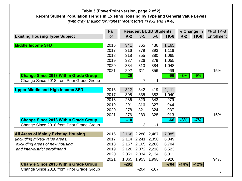#### **Table 3 (PowerPoint version, page 2 of 2) Recent Student Population Trends in Existing Housing by Type and General Value Levels**

*(with gray shading for highest recent totals in K-2 and TK-8)*

|                                             | Fall |        |             | <b>Resident BUSD Students</b> |        |            | % Change in | % of TK-8         |
|---------------------------------------------|------|--------|-------------|-------------------------------|--------|------------|-------------|-------------------|
| <b>Existing Housing Type/ Subject</b>       | of   | $K-2$  | $3-5$       | $6 - 8$                       | $TK-8$ | $K-2$      | $TK-8$      | <b>Enrollment</b> |
|                                             |      |        |             |                               |        |            |             |                   |
| <b>Middle Income SFD</b>                    | 2016 | 341    | 365         | 436                           | 1,165  |            |             |                   |
|                                             | 2017 | 316    | 379         | 393                           | 1,116  |            |             |                   |
|                                             | 2018 | 318    | 355         | 380                           | 1,065  |            |             |                   |
|                                             | 2019 | 337    | 326         | 379                           | 1,055  |            |             |                   |
|                                             | 2020 | 334    | 313         | 384                           | 1,048  |            |             |                   |
|                                             | 2021 | 292    | 311         | 356                           | 969    |            |             | 15%               |
| <b>Change Since 2018 Within Grade Group</b> |      | $-26$  |             |                               | $-96$  | $-8%$      | $-9%$       |                   |
| Change Since 2018 from Prior Grade Group    |      |        | $-7$        | 1                             |        |            |             |                   |
|                                             |      |        |             |                               |        |            |             |                   |
| <b>Upper Middle and High Income SFD</b>     | 2016 | 322    | 342         | 419                           | 1,111  |            |             |                   |
|                                             | 2017 | 305    | 335         | 383                           | 1,040  |            |             |                   |
|                                             | 2018 | 286    | 329         | 343                           | 979    |            |             |                   |
|                                             | 2019 | 291    | 316         | 327                           | 944    |            |             |                   |
|                                             | 2020 | 278    | 321         | 324                           | 937    |            |             |                   |
|                                             | 2021 | 276    | 289         | 328                           | 913    |            |             | 15%               |
| <b>Change Since 2018 Within Grade Group</b> |      | $-10$  |             |                               | $-66$  | $-3%$      | $-7%$       |                   |
| Change Since 2018 from Prior Grade Group    |      |        | 3           | $-1$                          |        |            |             |                   |
|                                             |      |        |             |                               |        |            |             |                   |
| <b>All Areas of Mainly Existing Housing</b> | 2016 | 2,166  | 2,288       | 2,487                         | 7,085  |            |             |                   |
| (including mixed-value areas;               | 2017 |        | 2,114 2,241 | 2,350                         | 6,849  |            |             |                   |
| excluding areas of new housing              | 2018 | 2,157  | 2,165       | 2,266                         | 6,704  |            |             |                   |
| and inter-district enrollment)              | 2019 | 2,120  | 2,072       | 2,218                         | 6,523  |            |             |                   |
|                                             | 2020 | 2,051  | 2,034       | 2,134                         | 6,311  |            |             |                   |
|                                             | 2021 | 1,865  | 1,953       | 1,998                         | 5,920  |            |             | 94%               |
| <b>Change Since 2018 Within Grade Group</b> |      | $-292$ |             |                               | $-784$ | $  -14%  $ | $-12%$      |                   |
| Change Since 2018 from Prior Grade Group    |      |        | $-204$      | $-167$                        |        |            |             | 7                 |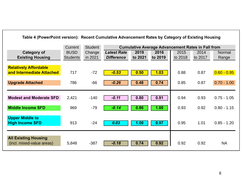| Table 4 (PowerPoint version): Recent Cumulative Advancement Rates by Category of Existing Housing |                 |                |                    |         |                                                          |         |         |               |
|---------------------------------------------------------------------------------------------------|-----------------|----------------|--------------------|---------|----------------------------------------------------------|---------|---------|---------------|
|                                                                                                   | Current         | <b>Student</b> |                    |         | <b>Cumulative Average Advancement Rates in Fall from</b> |         |         |               |
| <b>Category of</b>                                                                                | <b>BUSD</b>     | Change         | <b>Latest Rate</b> | 2019    | 2016                                                     | 2015    | 2014    | Normal        |
| <b>Existing Housing</b>                                                                           | <b>Students</b> | in 2021        | <b>Difference</b>  | to 2021 | to 2019                                                  | to 2018 | to 2017 | Range         |
| <b>Relatively Affordable</b>                                                                      |                 |                |                    |         |                                                          |         |         |               |
| and Intermediate Attached                                                                         | 717             | $-72$          | $-0.53$            | 0.50    | 1.03                                                     | 0.88    | 0.87    | $0.60 - 0.95$ |
| <b>Upgrade Attached</b>                                                                           | 786             | $-66$          | $-0.26$            | 0.48    | 0.74                                                     | 0.85    | 0.87    | $0.70 - 1.00$ |
|                                                                                                   |                 |                |                    |         |                                                          |         |         |               |
| <b>Modest and Moderate SFD</b>                                                                    | 2,421           | $-140$         | $-0.11$            | 0.80    | 0.91                                                     | 0.94    | 0.93    | $0.75 - 1.05$ |
| <b>Middle Income SFD</b>                                                                          | 969             | $-79$          | $-0.14$            | 0.86    | 1.00                                                     | 0.93    | 0.92    | $0.80 - 1.15$ |
| <b>Upper Middle to</b><br><b>High Income SFD</b>                                                  | 913             | $-24$          | 0.03               | 1.00    | 0.97                                                     | 0.95    | 1.01    | $0.85 - 1.20$ |
| <b>All Existing Housing</b><br>(incl. mixed-value areas)                                          | 5,848           | $-387$         | $-0.18$            | 0.74    | 0.92                                                     | 0.92    | 0.92    | <b>NA</b>     |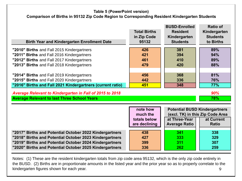#### **Table 5 (PowerPoint version) Comparison of Births in 95132 Zip Code Region to Corresponding Resident Kindergarten Students**

|                                                                                                                    |                     | <b>BUSD-Enrolled</b>                 | <b>Ratio of</b> |
|--------------------------------------------------------------------------------------------------------------------|---------------------|--------------------------------------|-----------------|
|                                                                                                                    | <b>Total Births</b> | <b>Resident</b>                      | Kindergarten    |
|                                                                                                                    | in Zip Code         | Kindergarten                         | <b>Students</b> |
| <b>Birth Year and Kindergarten Enrollment Date</b>                                                                 | 95132               | <b>Students</b>                      | to Births       |
| "2010" Births and Fall 2015 Kindergartners                                                                         | 426                 | 381                                  | 89%             |
| "2011" Births and Fall 2016 Kindergartners                                                                         | 421                 | 394                                  | 94%             |
| "2012" Births and Fall 2017 Kindergartners                                                                         | 461                 | 410                                  | 89%             |
| "2013" Births and Fall 2018 Kindergartners                                                                         | 479                 | 420                                  | 88%             |
|                                                                                                                    |                     |                                      |                 |
| "2014" Births and Fall 2019 Kindergartners                                                                         | 456                 | 368                                  | 81%             |
| "2015" Births and Fall 2020 Kindergartners                                                                         | 442                 | 336                                  | 76%             |
| "2016" Births and Fall 2021 Kindergartners (current ratio)                                                         | 451                 | 348                                  | 77%             |
| Average Relevant to Kindergarten in Fall of 2015 to 2018                                                           |                     |                                      | 90%             |
|                                                                                                                    |                     |                                      |                 |
| <b>Average Relevant to last Three School Years</b>                                                                 |                     |                                      | 78%             |
|                                                                                                                    |                     |                                      |                 |
|                                                                                                                    | note how            | <b>Potential BUSD Kindergartners</b> |                 |
|                                                                                                                    | much the            | (excl. TK) in this Zip Code Area     |                 |
|                                                                                                                    | totals below        | at Three-Year                        | at Current      |
|                                                                                                                    | are declining       | <b>Average Ratio</b>                 | <b>Ratio</b>    |
|                                                                                                                    |                     |                                      |                 |
| "2017" Births and Potential October 2022 Kindergartners                                                            | 438                 | 341                                  | 338             |
| "2018" Births and Potential October 2023 Kindergartners                                                            | 427                 | 333                                  | 329             |
| "2019" Births and Potential October 2024 Kindergartners<br>"2020" Births and Potential October 2025 Kindergartners | 399<br>336          | 311<br>262                           | 307<br>259      |

9 Notes: (1) These are the resident kindergarten totals from zip code area 95132, which is the only zip code entirely in the BUSD. (2) Births are in proportionate amounts in the listed year and the prior year so as to properly correlate to the kindergarten figures shown for each year.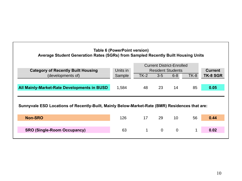| Average Student Generation Rates (SGRs) from Sampled Recently Built Housing Units                                                             | Table 6 (PowerPoint version) |      |             |                                  |             |                 |
|-----------------------------------------------------------------------------------------------------------------------------------------------|------------------------------|------|-------------|----------------------------------|-------------|-----------------|
|                                                                                                                                               |                              |      |             | <b>Current District-Enrolled</b> |             |                 |
| <b>Category of Recently Built Housing</b>                                                                                                     | Units in                     |      |             | <b>Resident Students</b>         |             | <b>Current</b>  |
| (developments of)                                                                                                                             | Sample                       | TK-2 | $3-5$       | $6-8$                            | <b>TK-8</b> | <b>TK-8 SGR</b> |
| All Mainly-Market-Rate Developments in BUSD<br>Sunnyvale ESD Locations of Recently-Built, Mainly Below-Market-Rate (BMR) Residences that are: | 1,584                        | 48   | 23          | 14                               | 85          | 0.05            |
| <b>Non-SRO</b>                                                                                                                                | 126                          | 17   | 29          | 10                               | 56          | 0.44            |
|                                                                                                                                               |                              |      |             |                                  |             |                 |
| <b>SRO (Single-Room Occupancy)</b>                                                                                                            | 63                           | 1    | $\mathbf 0$ | $\mathbf{0}$                     | 1           | 0.02            |
|                                                                                                                                               |                              |      |             |                                  |             |                 |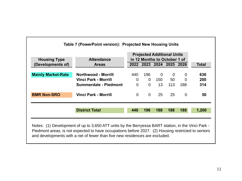|                                          |                                   |                | <b>Projected Additional Units</b>                        |                |          |                |              |
|------------------------------------------|-----------------------------------|----------------|----------------------------------------------------------|----------------|----------|----------------|--------------|
| <b>Housing Type</b><br>(Developments of) | <b>Attendance</b><br><b>Areas</b> |                | in 12 Months to October 1 of<br>2022 2023 2024 2025 2026 |                |          |                | <b>Total</b> |
| <b>Mainly Market-Rate</b>                | <b>Northwood - Morrill</b>        | 440            | 196                                                      | $\overline{0}$ | $\Omega$ | 0              | 636          |
|                                          | <b>Vinci Park - Morrill</b>       | $\overline{0}$ | $\overline{0}$                                           | 150            | 50       | $\mathbf 0$    | 200          |
|                                          | Summerdale - Piedmont             | $\Omega$       | $\Omega$                                                 | 13             | 113      | 188            | 314          |
| <b>BMR Non-SRO</b>                       | <b>Vinci Park - Morrill</b>       | $\overline{0}$ | $\overline{0}$                                           | 25             | 25       | $\overline{0}$ | 50           |
|                                          | <b>District Total</b>             | 440            | 196                                                      | 188            | 188      | 188            | 1,200        |